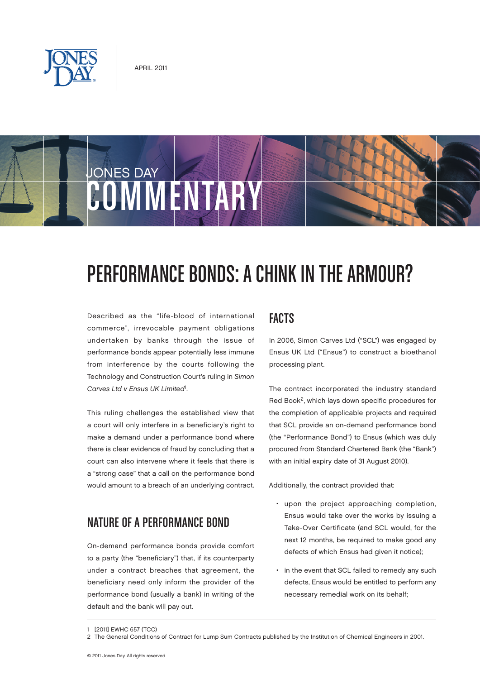

# **JONES DAY** OMMENTAR

# PERFORMANCE BONDS: A CHINK IN THE ARMOUR?

Described as the "life-blood of international commerce", irrevocable payment obligations undertaken by banks through the issue of performance bonds appear potentially less immune from interference by the courts following the Technology and Construction Court's ruling in Simon Carves Ltd v Ensus UK Limited<sup>1</sup>. .

This ruling challenges the established view that a court will only interfere in a beneficiary's right to make a demand under a performance bond where there is clear evidence of fraud by concluding that a court can also intervene where it feels that there is a "strong case" that a call on the performance bond would amount to a breach of an underlying contract.

### Nature of a Performance Bond

On-demand performance bonds provide comfort to a party (the "beneficiary") that, if its counterparty under a contract breaches that agreement, the beneficiary need only inform the provider of the performance bond (usually a bank) in writing of the default and the bank will pay out.

#### **FACTS**

In 2006, Simon Carves Ltd ("SCL") was engaged by Ensus UK Ltd ("Ensus") to construct a bioethanol processing plant.

The contract incorporated the industry standard Red Book<sup>2</sup>, which lays down specific procedures for the completion of applicable projects and required that SCL provide an on-demand performance bond (the "Performance Bond") to Ensus (which was duly procured from Standard Chartered Bank (the "Bank") with an initial expiry date of 31 August 2010).

Additionally, the contract provided that:

- upon the project approaching completion, Ensus would take over the works by issuing a Take-Over Certificate (and SCL would, for the next 12 months, be required to make good any defects of which Ensus had given it notice);
- in the event that SCL failed to remedy any such defects, Ensus would be entitled to perform any necessary remedial work on its behalf;

<sup>1</sup> [2011] EWHC 657 (TCC)

<sup>2</sup> The General Conditions of Contract for Lump Sum Contracts published by the Institution of Chemical Engineers in 2001.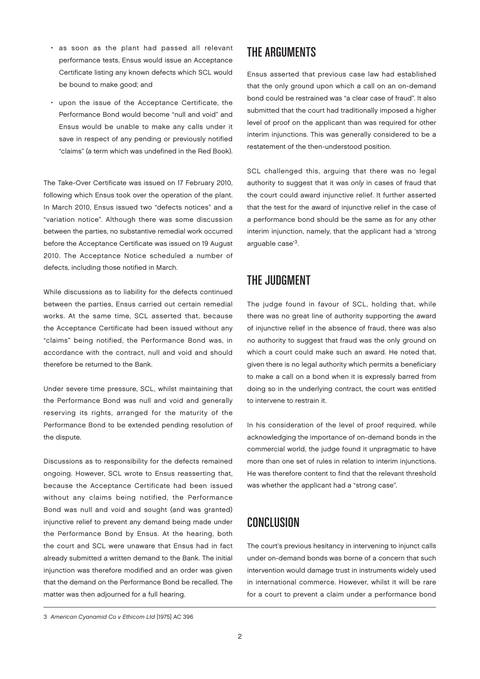- as soon as the plant had passed all relevant performance tests, Ensus would issue an Acceptance Certificate listing any known defects which SCL would be bound to make good; and
- upon the issue of the Acceptance Certificate, the Performance Bond would become "null and void" and Ensus would be unable to make any calls under it save in respect of any pending or previously notified "claims" (a term which was undefined in the Red Book).

The Take-Over Certificate was issued on 17 February 2010, following which Ensus took over the operation of the plant. In March 2010, Ensus issued two "defects notices" and a "variation notice". Although there was some discussion between the parties, no substantive remedial work occurred before the Acceptance Certificate was issued on 19 August 2010. The Acceptance Notice scheduled a number of defects, including those notified in March.

While discussions as to liability for the defects continued between the parties, Ensus carried out certain remedial works. At the same time, SCL asserted that, because the Acceptance Certificate had been issued without any "claims" being notified, the Performance Bond was, in accordance with the contract, null and void and should therefore be returned to the Bank.

Under severe time pressure, SCL, whilst maintaining that the Performance Bond was null and void and generally reserving its rights, arranged for the maturity of the Performance Bond to be extended pending resolution of the dispute.

Discussions as to responsibility for the defects remained ongoing. However, SCL wrote to Ensus reasserting that, because the Acceptance Certificate had been issued without any claims being notified, the Performance Bond was null and void and sought (and was granted) injunctive relief to prevent any demand being made under the Performance Bond by Ensus. At the hearing, both the court and SCL were unaware that Ensus had in fact already submitted a written demand to the Bank. The initial injunction was therefore modified and an order was given that the demand on the Performance Bond be recalled. The matter was then adjourned for a full hearing.

#### The Arguments

Ensus asserted that previous case law had established that the only ground upon which a call on an on-demand bond could be restrained was "a clear case of fraud". It also submitted that the court had traditionally imposed a higher level of proof on the applicant than was required for other interim injunctions. This was generally considered to be a restatement of the then-understood position.

SCL challenged this, arguing that there was no legal authority to suggest that it was only in cases of fraud that the court could award injunctive relief. It further asserted that the test for the award of injunctive relief in the case of a performance bond should be the same as for any other interim injunction, namely, that the applicant had a 'strong arguable case'3.

### The Judgment

The judge found in favour of SCL, holding that, while there was no great line of authority supporting the award of injunctive relief in the absence of fraud, there was also no authority to suggest that fraud was the only ground on which a court could make such an award. He noted that, given there is no legal authority which permits a beneficiary to make a call on a bond when it is expressly barred from doing so in the underlying contract, the court was entitled to intervene to restrain it.

In his consideration of the level of proof required, while acknowledging the importance of on-demand bonds in the commercial world, the judge found it unpragmatic to have more than one set of rules in relation to interim injunctions. He was therefore content to find that the relevant threshold was whether the applicant had a "strong case".

### Conclusion

The court's previous hesitancy in intervening to injunct calls under on-demand bonds was borne of a concern that such intervention would damage trust in instruments widely used in international commerce. However, whilst it will be rare for a court to prevent a claim under a performance bond

<sup>3</sup> American Cyanamid Co v Ethicom Ltd [1975] AC 396